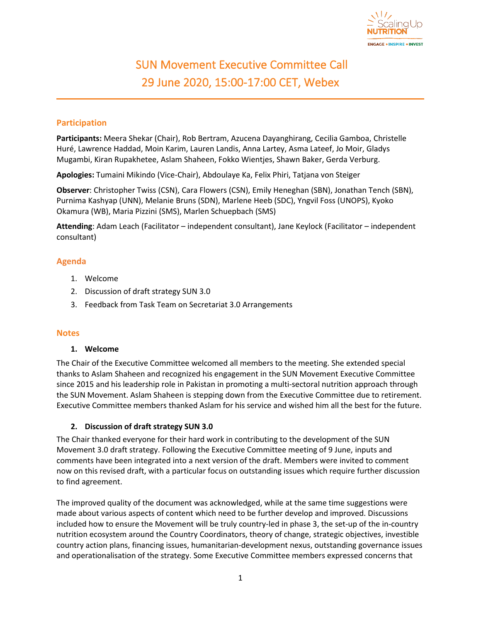

# SUN Movement Executive Committee Call 29 June 2020, 15:00-17:00 CET, Webex

## **Participation**

**Participants:** Meera Shekar (Chair), Rob Bertram, Azucena Dayanghirang, Cecilia Gamboa, Christelle Huré, Lawrence Haddad, Moin Karim, Lauren Landis, Anna Lartey, Asma Lateef, Jo Moir, Gladys Mugambi, Kiran Rupakhetee, Aslam Shaheen, Fokko Wientjes, Shawn Baker, Gerda Verburg.

**Apologies:** Tumaini Mikindo (Vice-Chair), Abdoulaye Ka, Felix Phiri, Tatjana von Steiger

**Observer**: Christopher Twiss (CSN), Cara Flowers (CSN), Emily Heneghan (SBN), Jonathan Tench (SBN), Purnima Kashyap (UNN), Melanie Bruns (SDN), Marlene Heeb (SDC), Yngvil Foss (UNOPS), Kyoko Okamura (WB), Maria Pizzini (SMS), Marlen Schuepbach (SMS)

**Attending**: Adam Leach (Facilitator – independent consultant), Jane Keylock (Facilitator – independent consultant)

# **Agenda**

- 1. Welcome
- 2. Discussion of draft strategy SUN 3.0
- 3. Feedback from Task Team on Secretariat 3.0 Arrangements

#### **Notes**

#### **1. Welcome**

The Chair of the Executive Committee welcomed all members to the meeting. She extended special thanks to Aslam Shaheen and recognized his engagement in the SUN Movement Executive Committee since 2015 and his leadership role in Pakistan in promoting a multi-sectoral nutrition approach through the SUN Movement. Aslam Shaheen is stepping down from the Executive Committee due to retirement. Executive Committee members thanked Aslam for his service and wished him all the best for the future.

#### **2. Discussion of draft strategy SUN 3.0**

The Chair thanked everyone for their hard work in contributing to the development of the SUN Movement 3.0 draft strategy. Following the Executive Committee meeting of 9 June, inputs and comments have been integrated into a next version of the draft. Members were invited to comment now on this revised draft, with a particular focus on outstanding issues which require further discussion to find agreement.

The improved quality of the document was acknowledged, while at the same time suggestions were made about various aspects of content which need to be further develop and improved. Discussions included how to ensure the Movement will be truly country-led in phase 3, the set-up of the in-country nutrition ecosystem around the Country Coordinators, theory of change, strategic objectives, investible country action plans, financing issues, humanitarian-development nexus, outstanding governance issues and operationalisation of the strategy. Some Executive Committee members expressed concerns that